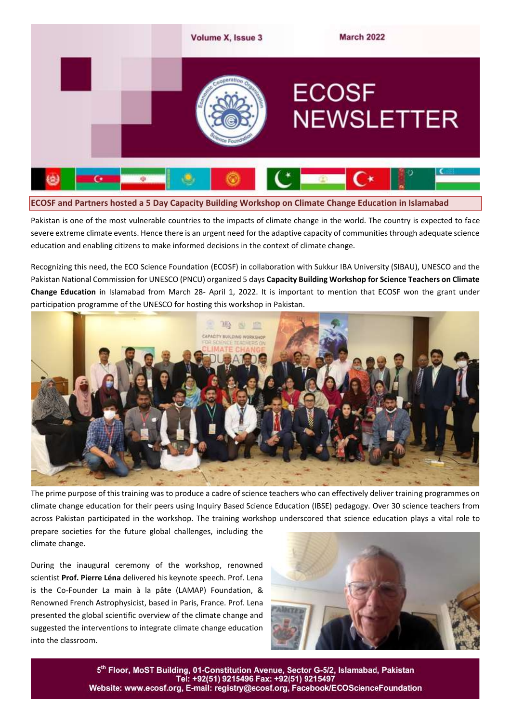

Pakistan is one of the most vulnerable countries to the impacts of climate change in the world. The country is expected to face severe extreme climate events. Hence there is an urgent need for the adaptive capacity of communities through adequate science education and enabling citizens to make informed decisions in the context of climate change.

Recognizing this need, the ECO Science Foundation (ECOSF) in collaboration with Sukkur IBA University (SIBAU), UNESCO and the Pakistan National Commission for UNESCO (PNCU) organized 5 days **Capacity Building Workshop for Science Teachers on Climate Change Education** in Islamabad from March 28- April 1, 2022. It is important to mention that ECOSF won the grant under participation programme of the UNESCO for hosting this workshop in Pakistan.



The prime purpose of this training was to produce a cadre of science teachers who can effectively deliver training programmes on climate change education for their peers using Inquiry Based Science Education (IBSE) pedagogy. Over 30 science teachers from across Pakistan participated in the workshop. The training workshop underscored that science education plays a vital role to

prepare societies for the future global challenges, including the climate change.

During the inaugural ceremony of the workshop, renowned scientist **Prof. Pierre Léna** delivered his keynote speech. Prof. Lena is the Co-Founder La main à la pâte (LAMAP) Foundation, & Renowned French Astrophysicist, based in Paris, France. Prof. Lena presented the global scientific overview of the climate change and suggested the interventions to integrate climate change education into the classroom.



5th Floor, MoST Building, 01-Constitution Avenue, Sector G-5/2, Islamabad, Pakistan Tel: +92(51) 9215496 Fax: +92(51) 9215497 Website: www.ecosf.org, E-mail: registry@ecosf.org, Facebook/ECOScienceFoundation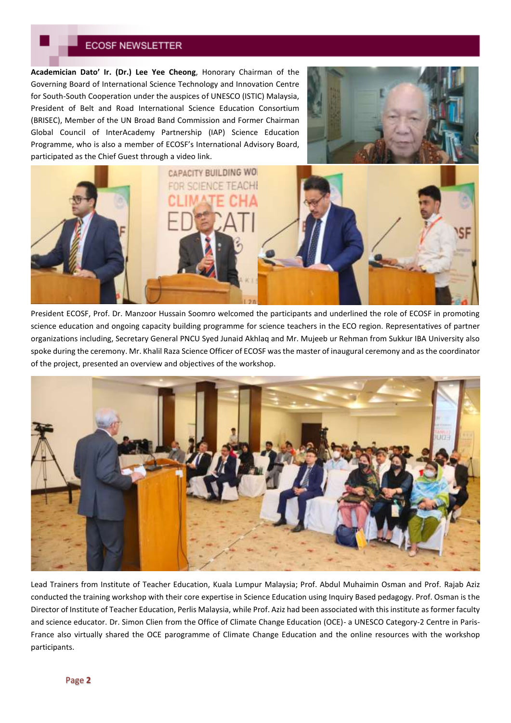**Academician Dato' Ir. (Dr.) Lee Yee Cheong**, Honorary Chairman of the Governing Board of International Science Technology and Innovation Centre for South-South Cooperation under the auspices of UNESCO (ISTIC) Malaysia, President of Belt and Road International Science Education Consortium (BRISEC), Member of the UN Broad Band Commission and Former Chairman Global Council of InterAcademy Partnership (IAP) Science Education Programme, who is also a member of ECOSF's International Advisory Board, participated as the Chief Guest through a video link.





President ECOSF, Prof. Dr. Manzoor Hussain Soomro welcomed the participants and underlined the role of ECOSF in promoting science education and ongoing capacity building programme for science teachers in the ECO region. Representatives of partner organizations including, Secretary General PNCU Syed Junaid Akhlaq and Mr. Mujeeb ur Rehman from Sukkur IBA University also spoke during the ceremony. Mr. Khalil Raza Science Officer of ECOSF was the master of inaugural ceremony and as the coordinator of the project, presented an overview and objectives of the workshop.



Lead Trainers from Institute of Teacher Education, Kuala Lumpur Malaysia; Prof. Abdul Muhaimin Osman and Prof. Rajab Aziz conducted the training workshop with their core expertise in Science Education using Inquiry Based pedagogy. Prof. Osman is the Director of Institute of Teacher Education, Perlis Malaysia, while Prof. Aziz had been associated with this institute as former faculty and science educator. Dr. Simon Clien from the Office of Climate Change Education (OCE)- a UNESCO Category-2 Centre in Paris-France also virtually shared the OCE parogramme of Climate Change Education and the online resources with the workshop participants.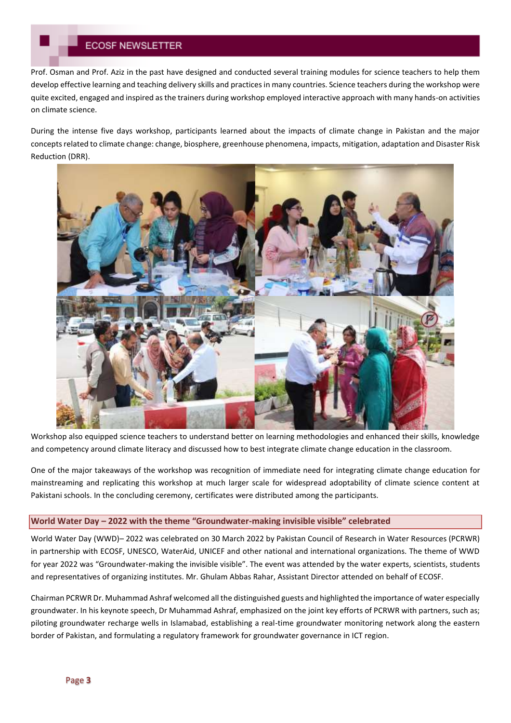Prof. Osman and Prof. Aziz in the past have designed and conducted several training modules for science teachers to help them develop effective learning and teaching delivery skills and practices in many countries. Science teachers during the workshop were quite excited, engaged and inspired as the trainers during workshop employed interactive approach with many hands-on activities on climate science.

During the intense five days workshop, participants learned about the impacts of climate change in Pakistan and the major concepts related to climate change: change, biosphere, greenhouse phenomena, impacts, mitigation, adaptation and Disaster Risk Reduction (DRR).



Workshop also equipped science teachers to understand better on learning methodologies and enhanced their skills, knowledge and competency around climate literacy and discussed how to best integrate climate change education in the classroom.

One of the major takeaways of the workshop was recognition of immediate need for integrating climate change education for mainstreaming and replicating this workshop at much larger scale for widespread adoptability of climate science content at Pakistani schools. In the concluding ceremony, certificates were distributed among the participants.

#### **World Water Day – 2022 with the theme "Groundwater-making invisible visible" celebrated**

World Water Day (WWD)– 2022 was celebrated on 30 March 2022 by Pakistan Council of Research in Water Resources (PCRWR) in partnership with ECOSF, UNESCO, WaterAid, UNICEF and other national and international organizations. The theme of WWD for year 2022 was "Groundwater-making the invisible visible". The event was attended by the water experts, scientists, students and representatives of organizing institutes. Mr. Ghulam Abbas Rahar, Assistant Director attended on behalf of ECOSF.

Chairman PCRWR Dr. Muhammad Ashraf welcomed all the distinguished guests and highlighted the importance of water especially groundwater. In his keynote speech, Dr Muhammad Ashraf, emphasized on the joint key efforts of PCRWR with partners, such as; piloting groundwater recharge wells in Islamabad, establishing a real-time groundwater monitoring network along the eastern border of Pakistan, and formulating a regulatory framework for groundwater governance in ICT region.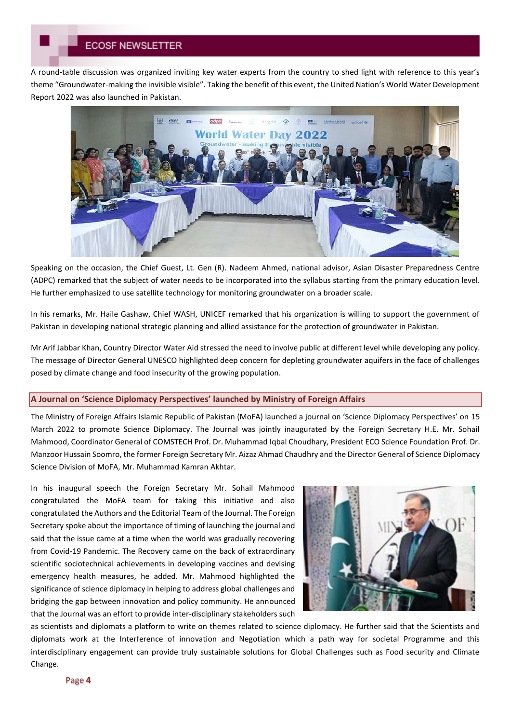A round-table discussion was organized inviting key water experts from the country to shed light with reference to this year's theme "Groundwater-making the invisible visible". Taking the benefit of this event, the United Nation's World Water Development Report 2022 was also launched in Pakistan.



Speaking on the occasion, the Chief Guest, Lt. Gen (R). Nadeem Ahmed, national advisor, Asian Disaster Preparedness Centre (ADPC) remarked that the subject of water needs to be incorporated into the syllabus starting from the primary education level. He further emphasized to use satellite technology for monitoring groundwater on a broader scale.

In his remarks, Mr. Haile Gashaw, Chief WASH, UNICEF remarked that his organization is willing to support the government of Pakistan in developing national strategic planning and allied assistance for the protection of groundwater in Pakistan.

Mr Arif Jabbar Khan, Country Director Water Aid stressed the need to involve public at different level while developing any policy. The message of Director General UNESCO highlighted deep concern for depleting groundwater aquifers in the face of challenges posed by climate change and food insecurity of the growing population.

#### **A Journal on 'Science Diplomacy Perspectives' launched by Ministry of Foreign Affairs**

The Ministry of Foreign Affairs Islamic Republic of Pakistan (MoFA) launched a journal on 'Science Diplomacy Perspectives' on 15 March 2022 to promote Science Diplomacy. The Journal was jointly inaugurated by the Foreign Secretary H.E. Mr. Sohail Mahmood, Coordinator General of COMSTECH Prof. Dr. Muhammad Iqbal Choudhary, President ECO Science Foundation Prof. Dr. Manzoor Hussain Soomro, the former Foreign Secretary Mr. Aizaz Ahmad Chaudhry and the Director General of Science Diplomacy Science Division of MoFA, Mr. Muhammad Kamran Akhtar.

In his inaugural speech the Foreign Secretary Mr. Sohail Mahmood congratulated the MoFA team for taking this initiative and also congratulated the Authors and the Editorial Team of the Journal. The Foreign Secretary spoke about the importance of timing of launching the journal and said that the issue came at a time when the world was gradually recovering from Covid-19 Pandemic. The Recovery came on the back of extraordinary scientific sociotechnical achievements in developing vaccines and devising emergency health measures, he added. Mr. Mahmood highlighted the significance of science diplomacy in helping to address global challenges and bridging the gap between innovation and policy community. He announced that the Journal was an effort to provide inter-disciplinary stakeholders such



as scientists and diplomats a platform to write on themes related to science diplomacy. He further said that the Scientists and diplomats work at the Interference of innovation and Negotiation which a path way for societal Programme and this interdisciplinary engagement can provide truly sustainable solutions for Global Challenges such as Food security and Climate Change.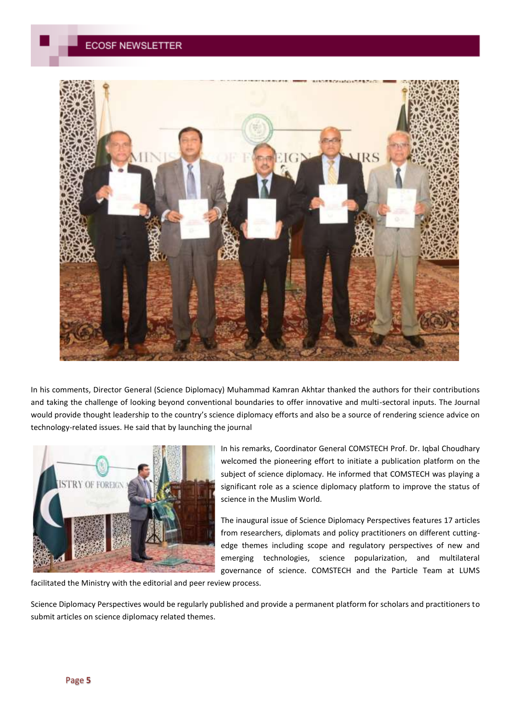

In his comments, Director General (Science Diplomacy) Muhammad Kamran Akhtar thanked the authors for their contributions and taking the challenge of looking beyond conventional boundaries to offer innovative and multi-sectoral inputs. The Journal would provide thought leadership to the country's science diplomacy efforts and also be a source of rendering science advice on technology-related issues. He said that by launching the journal



In his remarks, Coordinator General COMSTECH Prof. Dr. Iqbal Choudhary welcomed the pioneering effort to initiate a publication platform on the subject of science diplomacy. He informed that COMSTECH was playing a significant role as a science diplomacy platform to improve the status of science in the Muslim World.

The inaugural issue of Science Diplomacy Perspectives features 17 articles from researchers, diplomats and policy practitioners on different cuttingedge themes including scope and regulatory perspectives of new and emerging technologies, science popularization, and multilateral governance of science. COMSTECH and the Particle Team at LUMS

facilitated the Ministry with the editorial and peer review process.

Science Diplomacy Perspectives would be regularly published and provide a permanent platform for scholars and practitioners to submit articles on science diplomacy related themes.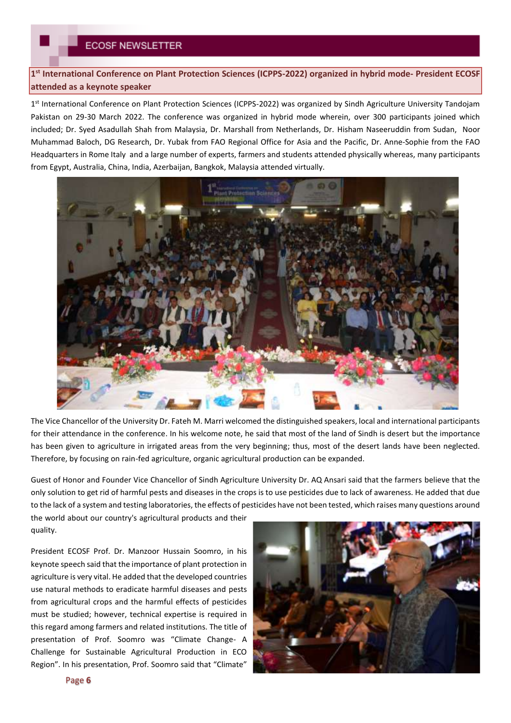**1 st International Conference on Plant Protection Sciences (ICPPS-2022) organized in hybrid mode- President ECOSF attended as a keynote speaker**

1<sup>st</sup> International Conference on Plant Protection Sciences (ICPPS-2022) was organized by Sindh Agriculture University Tandojam Pakistan on 29-30 March 2022. The conference was organized in hybrid mode wherein, over 300 participants joined which included; Dr. Syed Asadullah Shah from Malaysia, Dr. Marshall from Netherlands, Dr. Hisham Naseeruddin from Sudan, Noor Muhammad Baloch, DG Research, Dr. Yubak from FAO Regional Office for Asia and the Pacific, Dr. Anne-Sophie from the FAO Headquarters in Rome Italy and a large number of experts, farmers and students attended physically whereas, many participants from Egypt, Australia, China, India, Azerbaijan, Bangkok, Malaysia attended virtually.



The Vice Chancellor of the University Dr. Fateh M. Marri welcomed the distinguished speakers, local and international participants for their attendance in the conference. In his welcome note, he said that most of the land of Sindh is desert but the importance has been given to agriculture in irrigated areas from the very beginning; thus, most of the desert lands have been neglected. Therefore, by focusing on rain-fed agriculture, organic agricultural production can be expanded.

Guest of Honor and Founder Vice Chancellor of Sindh Agriculture University Dr. AQ Ansari said that the farmers believe that the only solution to get rid of harmful pests and diseases in the crops is to use pesticides due to lack of awareness. He added that due to the lack of a system and testing laboratories, the effects of pesticides have not been tested, which raises many questions around

the world about our country's agricultural products and their quality.

President ECOSF Prof. Dr. Manzoor Hussain Soomro, in his keynote speech said that the importance of plant protection in agriculture is very vital. He added that the developed countries use natural methods to eradicate harmful diseases and pests from agricultural crops and the harmful effects of pesticides must be studied; however, technical expertise is required in this regard among farmers and related institutions. The title of presentation of Prof. Soomro was "Climate Change- A Challenge for Sustainable Agricultural Production in ECO Region". In his presentation, Prof. Soomro said that "Climate"

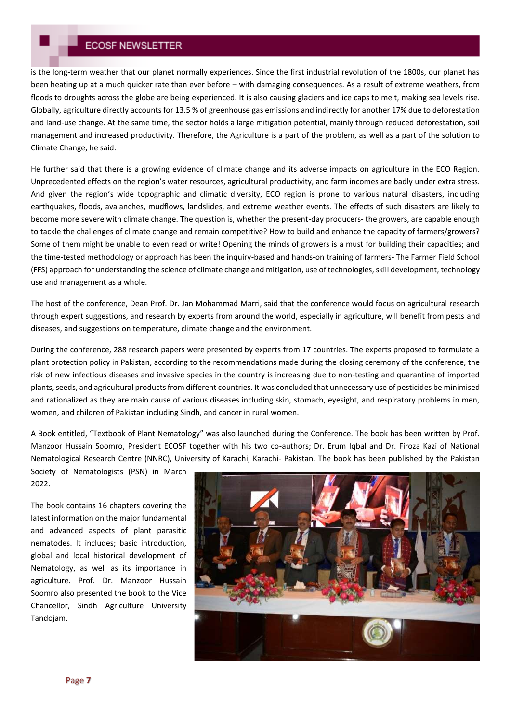is the long-term weather that our planet normally experiences. Since the first industrial revolution of the 1800s, our planet has been heating up at a much quicker rate than ever before – with damaging consequences. As a result of extreme weathers, from floods to droughts across the globe are being experienced. It is also causing glaciers and ice caps to melt, making sea levels rise. Globally, agriculture directly accounts for 13.5 % of greenhouse gas emissions and indirectly for another 17% due to deforestation and land-use change. At the same time, the sector holds a large mitigation potential, mainly through reduced deforestation, soil management and increased productivity. Therefore, the Agriculture is a part of the problem, as well as a part of the solution to Climate Change, he said.

He further said that there is a growing evidence of climate change and its adverse impacts on agriculture in the ECO Region. Unprecedented effects on the region's water resources, agricultural productivity, and farm incomes are badly under extra stress. And given the region's wide topographic and climatic diversity, ECO region is prone to various natural disasters, including earthquakes, floods, avalanches, mudflows, landslides, and extreme weather events. The effects of such disasters are likely to become more severe with climate change. The question is, whether the present-day producers- the growers, are capable enough to tackle the challenges of climate change and remain competitive? How to build and enhance the capacity of farmers/growers? Some of them might be unable to even read or write! Opening the minds of growers is a must for building their capacities; and the time-tested methodology or approach has been the inquiry-based and hands-on training of farmers- The Farmer Field School (FFS) approach for understanding the science of climate change and mitigation, use of technologies, skill development, technology use and management as a whole.

The host of the conference, Dean Prof. Dr. Jan Mohammad Marri, said that the conference would focus on agricultural research through expert suggestions, and research by experts from around the world, especially in agriculture, will benefit from pests and diseases, and suggestions on temperature, climate change and the environment.

During the conference, 288 research papers were presented by experts from 17 countries. The experts proposed to formulate a plant protection policy in Pakistan, according to the recommendations made during the closing ceremony of the conference, the risk of new infectious diseases and invasive species in the country is increasing due to non-testing and quarantine of imported plants, seeds, and agricultural products from different countries. It was concluded that unnecessary use of pesticides be minimised and rationalized as they are main cause of various diseases including skin, stomach, eyesight, and respiratory problems in men, women, and children of Pakistan including Sindh, and cancer in rural women.

A Book entitled, "Textbook of Plant Nematology" was also launched during the Conference. The book has been written by Prof. Manzoor Hussain Soomro, President ECOSF together with his two co-authors; Dr. Erum Iqbal and Dr. Firoza Kazi of National Nematological Research Centre (NNRC), University of Karachi, Karachi- Pakistan. The book has been published by the Pakistan

Society of Nematologists (PSN) in March 2022.

The book contains 16 chapters covering the latest information on the major fundamental and advanced aspects of plant parasitic nematodes. It includes; basic introduction, global and local historical development of Nematology, as well as its importance in agriculture. Prof. Dr. Manzoor Hussain Soomro also presented the book to the Vice Chancellor, Sindh Agriculture University Tandojam.

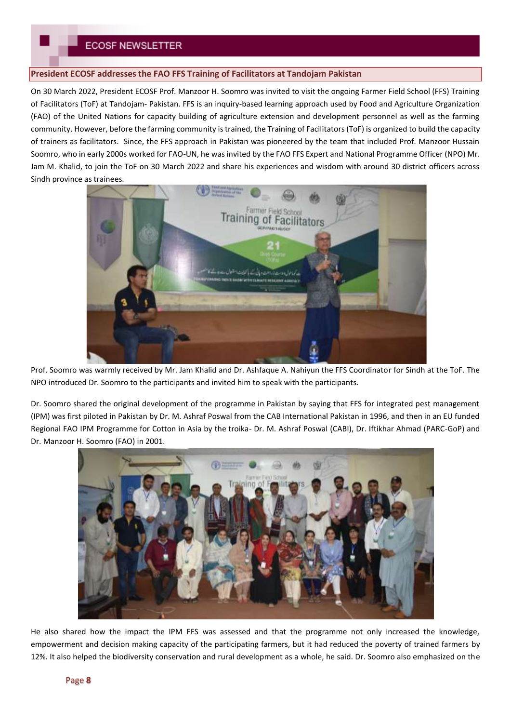### **President ECOSF addresses the FAO FFS Training of Facilitators at Tandojam Pakistan**

On 30 March 2022, President ECOSF Prof. Manzoor H. Soomro was invited to visit the ongoing Farmer Field School (FFS) Training of Facilitators (ToF) at Tandojam- Pakistan. FFS is an inquiry-based learning approach used by Food and Agriculture Organization (FAO) of the United Nations for capacity building of agriculture extension and development personnel as well as the farming community. However, before the farming community is trained, the Training of Facilitators (ToF) is organized to build the capacity of trainers as facilitators. Since, the FFS approach in Pakistan was pioneered by the team that included Prof. Manzoor Hussain Soomro, who in early 2000s worked for FAO-UN, he was invited by the FAO FFS Expert and National Programme Officer (NPO) Mr. Jam M. Khalid, to join the ToF on 30 March 2022 and share his experiences and wisdom with around 30 district officers across Sindh province as trainees.



Prof. Soomro was warmly received by Mr. Jam Khalid and Dr. Ashfaque A. Nahiyun the FFS Coordinator for Sindh at the ToF. The NPO introduced Dr. Soomro to the participants and invited him to speak with the participants.

Dr. Soomro shared the original development of the programme in Pakistan by saying that FFS for integrated pest management (IPM) was first piloted in Pakistan by Dr. M. Ashraf Poswal from the CAB International Pakistan in 1996, and then in an EU funded Regional FAO IPM Programme for Cotton in Asia by the troika- Dr. M. Ashraf Poswal (CABI), Dr. Iftikhar Ahmad (PARC-GoP) and Dr. Manzoor H. Soomro (FAO) in 2001.



He also shared how the impact the IPM FFS was assessed and that the programme not only increased the knowledge, empowerment and decision making capacity of the participating farmers, but it had reduced the poverty of trained farmers by 12%. It also helped the biodiversity conservation and rural development as a whole, he said. Dr. Soomro also emphasized on the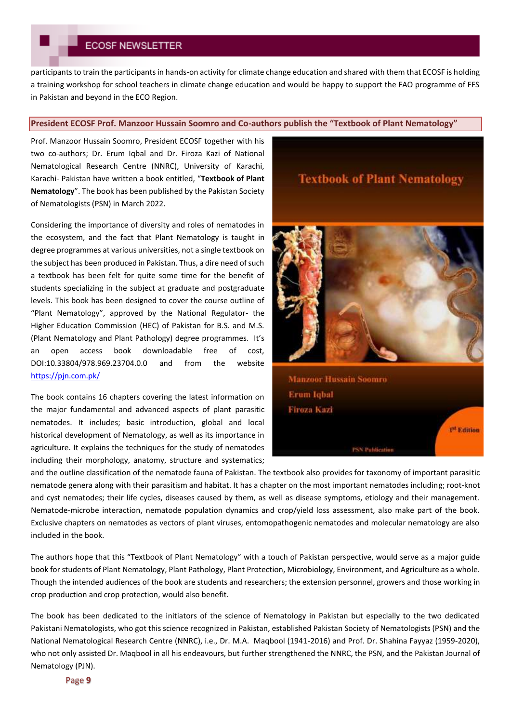participants to train the participants in hands-on activity for climate change education and shared with them that ECOSF is holding a training workshop for school teachers in climate change education and would be happy to support the FAO programme of FFS in Pakistan and beyond in the ECO Region.

#### **President ECOSF Prof. Manzoor Hussain Soomro and Co-authors publish the "Textbook of Plant Nematology"**

Prof. Manzoor Hussain Soomro, President ECOSF together with his two co-authors; Dr. Erum Iqbal and Dr. Firoza Kazi of National Nematological Research Centre (NNRC), University of Karachi, Karachi- Pakistan have written a book entitled, "**Textbook of Plant Nematology**". The book has been published by the Pakistan Society of Nematologists (PSN) in March 2022.

Considering the importance of diversity and roles of nematodes in the ecosystem, and the fact that Plant Nematology is taught in degree programmes at various universities, not a single textbook on the subject has been produced in Pakistan. Thus, a dire need of such a textbook has been felt for quite some time for the benefit of students specializing in the subject at graduate and postgraduate levels. This book has been designed to cover the course outline of "Plant Nematology", approved by the National Regulator- the Higher Education Commission (HEC) of Pakistan for B.S. and M.S. (Plant Nematology and Plant Pathology) degree programmes. It's an open access book downloadable free of cost, DOI:10.33804/978.969.23704.0.0 and from the website <https://pjn.com.pk/>

The book contains 16 chapters covering the latest information on the major fundamental and advanced aspects of plant parasitic nematodes. It includes; basic introduction, global and local historical development of Nematology, as well as its importance in agriculture. It explains the techniques for the study of nematodes including their morphology, anatomy, structure and systematics; **Textbook of Plant Nematology** 



**Manzoor Hussain Soomro Erum Iqbal** Firoza Kazı P<sup>L</sup> Edition **PSN Publication** 

and the outline classification of the nematode fauna of Pakistan. The textbook also provides for taxonomy of important parasitic nematode genera along with their parasitism and habitat. It has a chapter on the most important nematodes including; root-knot and cyst nematodes; their life cycles, diseases caused by them, as well as disease symptoms, etiology and their management. Nematode-microbe interaction, nematode population dynamics and crop/yield loss assessment, also make part of the book. Exclusive chapters on nematodes as vectors of plant viruses, entomopathogenic nematodes and molecular nematology are also included in the book.

The authors hope that this "Textbook of Plant Nematology" with a touch of Pakistan perspective, would serve as a major guide book for students of Plant Nematology, Plant Pathology, Plant Protection, Microbiology, Environment, and Agriculture as a whole. Though the intended audiences of the book are students and researchers; the extension personnel, growers and those working in crop production and crop protection, would also benefit.

The book has been dedicated to the initiators of the science of Nematology in Pakistan but especially to the two dedicated Pakistani Nematologists, who got this science recognized in Pakistan, established Pakistan Society of Nematologists (PSN) and the National Nematological Research Centre (NNRC), i.e., Dr. M.A. Maqbool (1941-2016) and Prof. Dr. Shahina Fayyaz (1959-2020), who not only assisted Dr. Maqbool in all his endeavours, but further strengthened the NNRC, the PSN, and the Pakistan Journal of Nematology (PJN).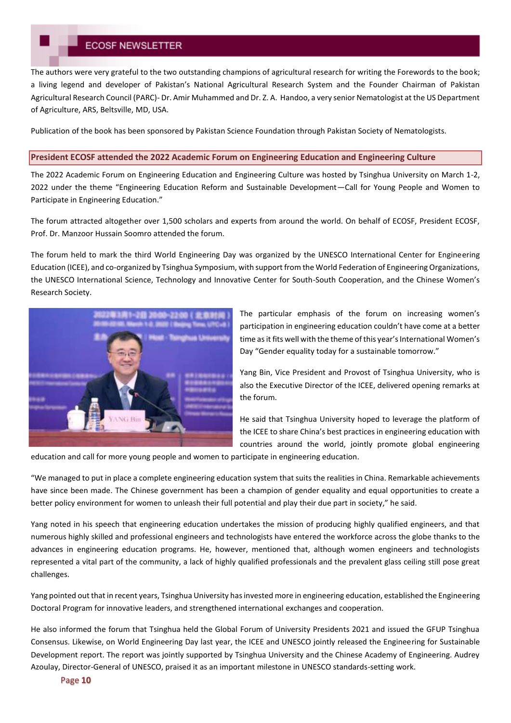The authors were very grateful to the two outstanding champions of agricultural research for writing the Forewords to the book; a living legend and developer of Pakistan's National Agricultural Research System and the Founder Chairman of Pakistan Agricultural Research Council (PARC)- Dr. Amir Muhammed and Dr. Z. A. Handoo, a very senior Nematologist at the US Department of Agriculture, ARS, Beltsville, MD, USA.

Publication of the book has been sponsored by Pakistan Science Foundation through Pakistan Society of Nematologists.

#### **President ECOSF attended the 2022 Academic Forum on Engineering Education and Engineering Culture**

The 2022 Academic Forum on Engineering Education and Engineering Culture was hosted by Tsinghua University on March 1-2, 2022 under the theme "Engineering Education Reform and Sustainable Development—Call for Young People and Women to Participate in Engineering Education."

The forum attracted altogether over 1,500 scholars and experts from around the world. On behalf of ECOSF, President ECOSF, Prof. Dr. Manzoor Hussain Soomro attended the forum.

The forum held to mark the third World Engineering Day was organized by the UNESCO International Center for Engineering Education (ICEE), and co-organized by Tsinghua Symposium, with support from the World Federation of Engineering Organizations, the UNESCO International Science, Technology and Innovative Center for South-South Cooperation, and the Chinese Women's Research Society.



The particular emphasis of the forum on increasing women's participation in engineering education couldn't have come at a better time as it fits well with the theme of this year's International Women's Day "Gender equality today for a sustainable tomorrow."

Yang Bin, Vice President and Provost of Tsinghua University, who is also the Executive Director of the ICEE, delivered opening remarks at the forum.

He said that Tsinghua University hoped to leverage the platform of the ICEE to share China's best practices in engineering education with countries around the world, jointly promote global engineering

education and call for more young people and women to participate in engineering education.

"We managed to put in place a complete engineering education system that suits the realities in China. Remarkable achievements have since been made. The Chinese government has been a champion of gender equality and equal opportunities to create a better policy environment for women to unleash their full potential and play their due part in society," he said.

Yang noted in his speech that engineering education undertakes the mission of producing highly qualified engineers, and that numerous highly skilled and professional engineers and technologists have entered the workforce across the globe thanks to the advances in engineering education programs. He, however, mentioned that, although women engineers and technologists represented a vital part of the community, a lack of highly qualified professionals and the prevalent glass ceiling still pose great challenges.

Yang pointed out that in recent years, Tsinghua University has invested more in engineering education, established the Engineering Doctoral Program for innovative leaders, and strengthened international exchanges and cooperation.

He also informed the forum that Tsinghua held the Global Forum of University Presidents 2021 and issued the GFUP Tsinghua Consensus. Likewise, on World Engineering Day last year, the ICEE and UNESCO jointly released the Engineering for Sustainable Development report. The report was jointly supported by Tsinghua University and the Chinese Academy of Engineering. Audrey Azoulay, Director-General of UNESCO, praised it as an important milestone in UNESCO standards-setting work.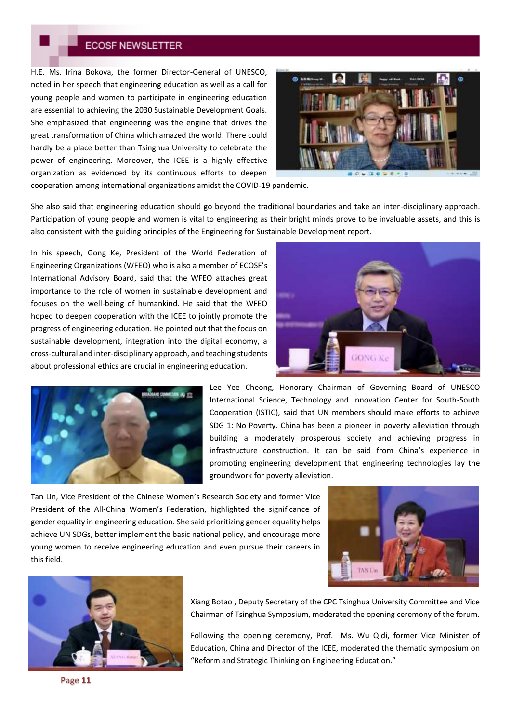H.E. Ms. Irina Bokova, the former Director-General of UNESCO, noted in her speech that engineering education as well as a call for young people and women to participate in engineering education are essential to achieving the 2030 Sustainable Development Goals. She emphasized that engineering was the engine that drives the great transformation of China which amazed the world. There could hardly be a place better than Tsinghua University to celebrate the power of engineering. Moreover, the ICEE is a highly effective organization as evidenced by its continuous efforts to deepen



cooperation among international organizations amidst the COVID-19 pandemic.

She also said that engineering education should go beyond the traditional boundaries and take an inter-disciplinary approach. Participation of young people and women is vital to engineering as their bright minds prove to be invaluable assets, and this is also consistent with the guiding principles of the Engineering for Sustainable Development report.

In his speech, Gong Ke, President of the World Federation of Engineering Organizations (WFEO) who is also a member of ECOSF's International Advisory Board, said that the WFEO attaches great importance to the role of women in sustainable development and focuses on the well-being of humankind. He said that the WFEO hoped to deepen cooperation with the ICEE to jointly promote the progress of engineering education. He pointed out that the focus on sustainable development, integration into the digital economy, a cross-cultural and inter-disciplinary approach, and teaching students about professional ethics are crucial in engineering education.





Lee Yee Cheong, Honorary Chairman of Governing Board of UNESCO International Science, Technology and Innovation Center for South-South Cooperation (ISTIC), said that UN members should make efforts to achieve SDG 1: No Poverty. China has been a pioneer in poverty alleviation through building a moderately prosperous society and achieving progress in infrastructure construction. It can be said from China's experience in promoting engineering development that engineering technologies lay the groundwork for poverty alleviation.

Tan Lin, Vice President of the Chinese Women's Research Society and former Vice President of the All-China Women's Federation, highlighted the significance of gender equality in engineering education. She said prioritizing gender equality helps achieve UN SDGs, better implement the basic national policy, and encourage more young women to receive engineering education and even pursue their careers in this field.





Xiang Botao , Deputy Secretary of the CPC Tsinghua University Committee and Vice Chairman of Tsinghua Symposium, moderated the opening ceremony of the forum.

Following the opening ceremony, Prof. Ms. Wu Qidi, former Vice Minister of Education, China and Director of the ICEE, moderated the thematic symposium on "Reform and Strategic Thinking on Engineering Education."